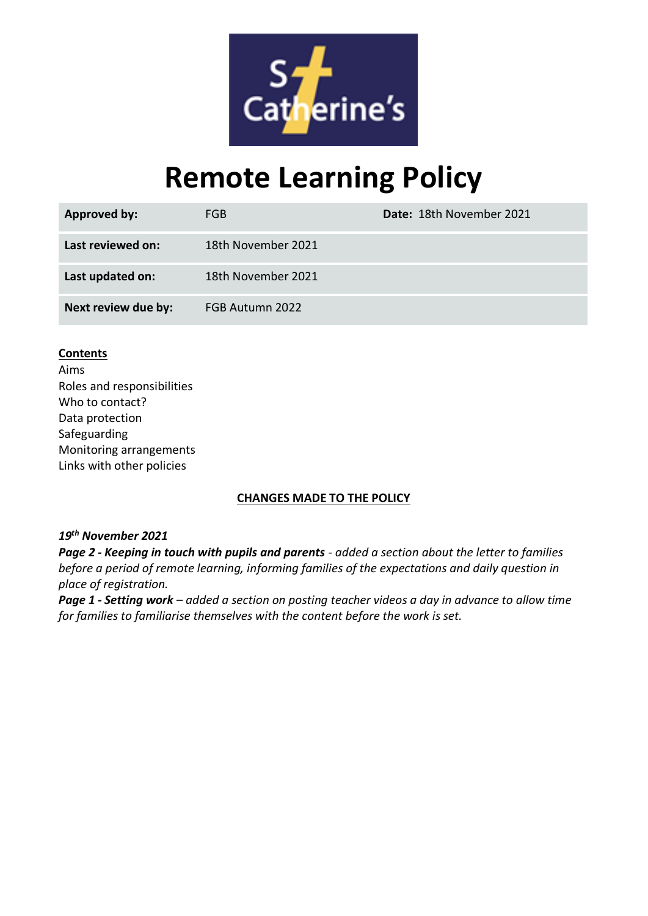

# **Remote Learning Policy**

| <b>Approved by:</b> | FGB.               | Date: 18th November 2021 |
|---------------------|--------------------|--------------------------|
| Last reviewed on:   | 18th November 2021 |                          |
| Last updated on:    | 18th November 2021 |                          |
| Next review due by: | FGB Autumn 2022    |                          |

#### **Contents**

Aims Roles and responsibilities Who to contact? Data protection Safeguarding Monitoring arrangements Links with other policies

#### **CHANGES MADE TO THE POLICY**

#### *19th November 2021*

*Page 2 - Keeping in touch with pupils and parents - added a section about the letter to families before a period of remote learning, informing families of the expectations and daily question in place of registration.*

*Page 1 - Setting work – added a section on posting teacher videos a day in advance to allow time for families to familiarise themselves with the content before the work is set.*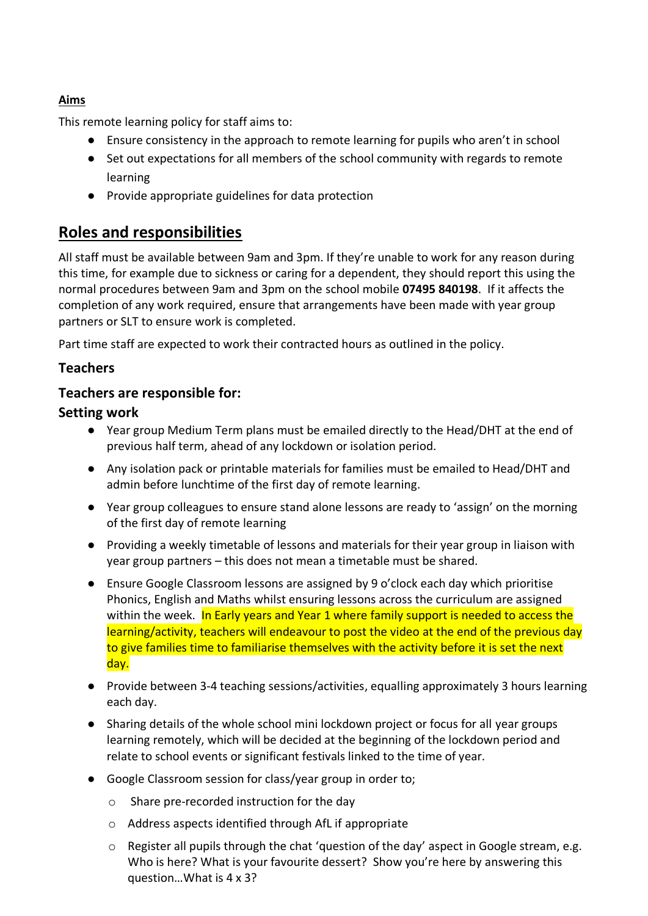#### **Aims**

This remote learning policy for staff aims to:

- Ensure consistency in the approach to remote learning for pupils who aren't in school
- Set out expectations for all members of the school community with regards to remote learning
- Provide appropriate guidelines for data protection

# **Roles and responsibilities**

All staff must be available between 9am and 3pm. If they're unable to work for any reason during this time, for example due to sickness or caring for a dependent, they should report this using the normal procedures between 9am and 3pm on the school mobile **07495 840198**. If it affects the completion of any work required, ensure that arrangements have been made with year group partners or SLT to ensure work is completed.

Part time staff are expected to work their contracted hours as outlined in the policy.

# **Teachers**

# **Teachers are responsible for:**

# **Setting work**

- Year group Medium Term plans must be emailed directly to the Head/DHT at the end of previous half term, ahead of any lockdown or isolation period.
- Any isolation pack or printable materials for families must be emailed to Head/DHT and admin before lunchtime of the first day of remote learning.
- Year group colleagues to ensure stand alone lessons are ready to 'assign' on the morning of the first day of remote learning
- Providing a weekly timetable of lessons and materials for their year group in liaison with year group partners – this does not mean a timetable must be shared.
- Ensure Google Classroom lessons are assigned by 9 o'clock each day which prioritise Phonics, English and Maths whilst ensuring lessons across the curriculum are assigned within the week. In Early years and Year 1 where family support is needed to access the learning/activity, teachers will endeavour to post the video at the end of the previous day to give families time to familiarise themselves with the activity before it is set the next day.
- Provide between 3-4 teaching sessions/activities, equalling approximately 3 hours learning each day.
- Sharing details of the whole school mini lockdown project or focus for all year groups learning remotely, which will be decided at the beginning of the lockdown period and relate to school events or significant festivals linked to the time of year.
- Google Classroom session for class/year group in order to;
	- o Share pre-recorded instruction for the day
	- o Address aspects identified through AfL if appropriate
	- o Register all pupils through the chat 'question of the day' aspect in Google stream, e.g. Who is here? What is your favourite dessert? Show you're here by answering this question…What is 4 x 3?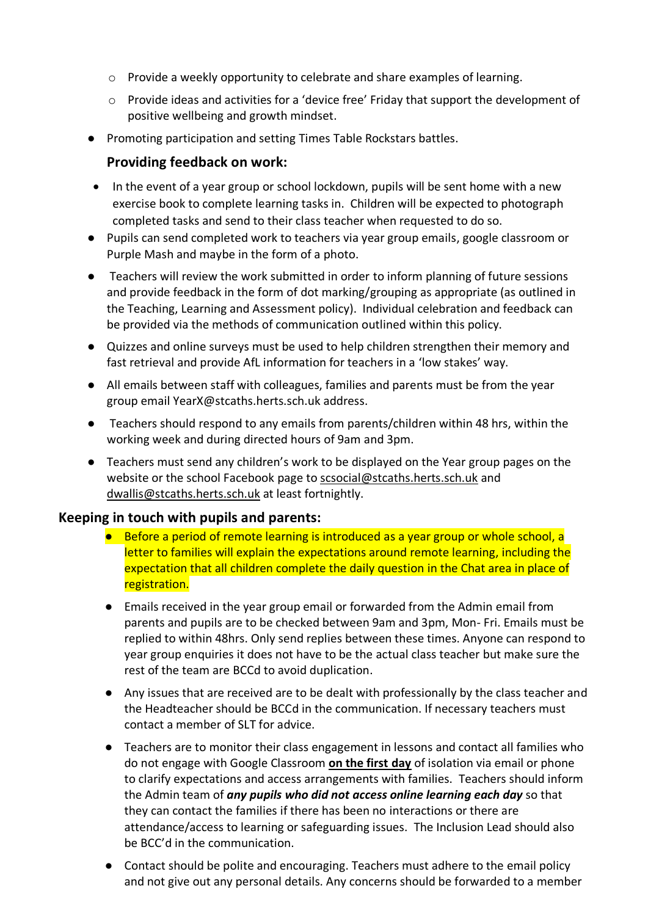- o Provide a weekly opportunity to celebrate and share examples of learning.
- $\circ$  Provide ideas and activities for a 'device free' Friday that support the development of positive wellbeing and growth mindset.
- Promoting participation and setting Times Table Rockstars battles.

#### **Providing feedback on work:**

- In the event of a year group or school lockdown, pupils will be sent home with a new exercise book to complete learning tasks in. Children will be expected to photograph completed tasks and send to their class teacher when requested to do so.
- Pupils can send completed work to teachers via year group emails, google classroom or Purple Mash and maybe in the form of a photo.
- Teachers will review the work submitted in order to inform planning of future sessions and provide feedback in the form of dot marking/grouping as appropriate (as outlined in the Teaching, Learning and Assessment policy). Individual celebration and feedback can be provided via the methods of communication outlined within this policy.
- Quizzes and online surveys must be used to help children strengthen their memory and fast retrieval and provide AfL information for teachers in a 'low stakes' way.
- All emails between staff with colleagues, families and parents must be from the year group email YearX@stcaths.herts.sch.uk address.
- Teachers should respond to any emails from parents/children within 48 hrs, within the working week and during directed hours of 9am and 3pm.
- Teachers must send any children's work to be displayed on the Year group pages on the website or the school Facebook page to [scsocial@stcaths.herts.sch.uk](mailto:scsocial@stcaths.herts.sch.uk) and [dwallis@stcaths.herts.sch.uk](mailto:dwallis@stcaths.herts.sch.uk) at least fortnightly.

#### **Keeping in touch with pupils and parents:**

- Before a period of remote learning is introduced as a year group or whole school, a letter to families will explain the expectations around remote learning, including the expectation that all children complete the daily question in the Chat area in place of registration.
- Emails received in the year group email or forwarded from the Admin email from parents and pupils are to be checked between 9am and 3pm, Mon- Fri. Emails must be replied to within 48hrs. Only send replies between these times. Anyone can respond to year group enquiries it does not have to be the actual class teacher but make sure the rest of the team are BCCd to avoid duplication.
- Any issues that are received are to be dealt with professionally by the class teacher and the Headteacher should be BCCd in the communication. If necessary teachers must contact a member of SLT for advice.
- Teachers are to monitor their class engagement in lessons and contact all families who do not engage with Google Classroom **on the first day** of isolation via email or phone to clarify expectations and access arrangements with families. Teachers should inform the Admin team of *any pupils who did not access online learning each day* so that they can contact the families if there has been no interactions or there are attendance/access to learning or safeguarding issues. The Inclusion Lead should also be BCC'd in the communication.
- Contact should be polite and encouraging. Teachers must adhere to the email policy and not give out any personal details. Any concerns should be forwarded to a member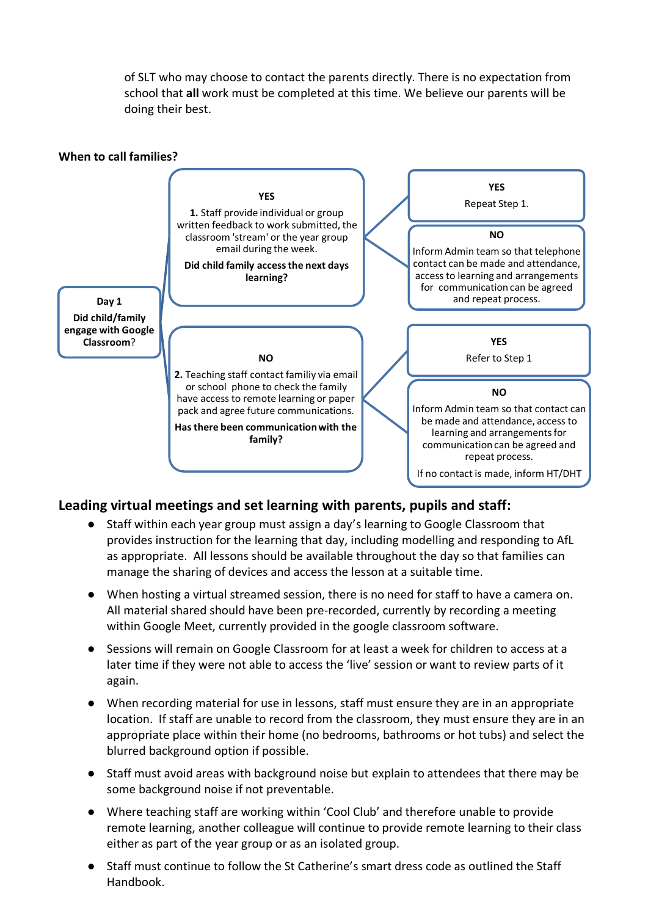of SLT who may choose to contact the parents directly. There is no expectation from school that **all** work must be completed at this time. We believe our parents will be doing their best.



## **Leading virtual meetings and set learning with parents, pupils and staff:**

- Staff within each year group must assign a day's learning to Google Classroom that provides instruction for the learning that day, including modelling and responding to AfL as appropriate. All lessons should be available throughout the day so that families can manage the sharing of devices and access the lesson at a suitable time.
- When hosting a virtual streamed session, there is no need for staff to have a camera on. All material shared should have been pre-recorded, currently by recording a meeting within Google Meet, currently provided in the google classroom software.
- Sessions will remain on Google Classroom for at least a week for children to access at a later time if they were not able to access the 'live' session or want to review parts of it again.
- When recording material for use in lessons, staff must ensure they are in an appropriate location. If staff are unable to record from the classroom, they must ensure they are in an appropriate place within their home (no bedrooms, bathrooms or hot tubs) and select the blurred background option if possible.
- Staff must avoid areas with background noise but explain to attendees that there may be some background noise if not preventable.
- Where teaching staff are working within 'Cool Club' and therefore unable to provide remote learning, another colleague will continue to provide remote learning to their class either as part of the year group or as an isolated group.
- Staff must continue to follow the St Catherine's smart dress code as outlined the Staff Handbook.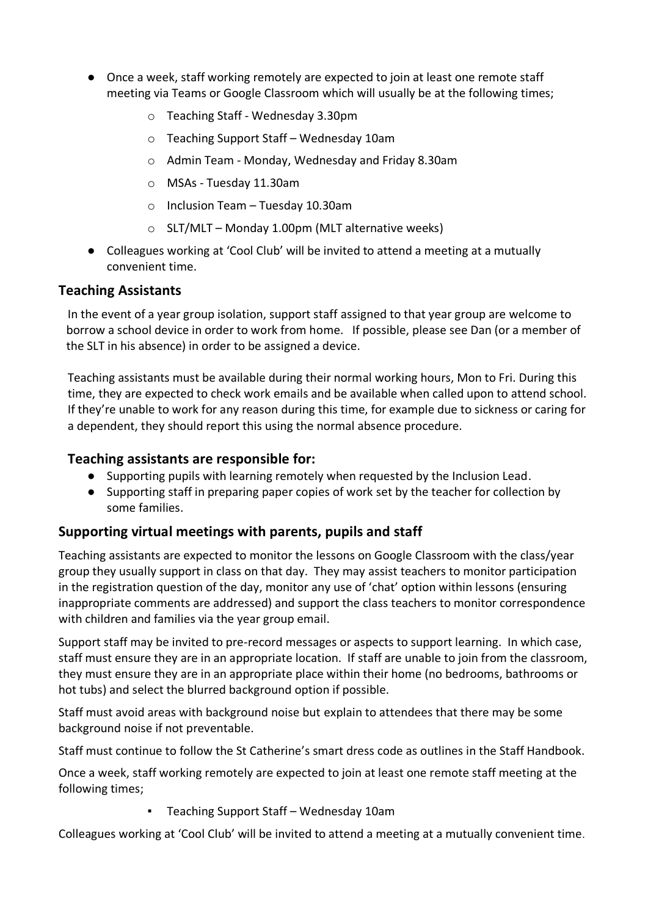- Once a week, staff working remotely are expected to join at least one remote staff meeting via Teams or Google Classroom which will usually be at the following times;
	- o Teaching Staff Wednesday 3.30pm
	- o Teaching Support Staff Wednesday 10am
	- o Admin Team Monday, Wednesday and Friday 8.30am
	- o MSAs Tuesday 11.30am
	- o Inclusion Team Tuesday 10.30am
	- o SLT/MLT Monday 1.00pm (MLT alternative weeks)
- Colleagues working at 'Cool Club' will be invited to attend a meeting at a mutually convenient time.

#### **Teaching Assistants**

In the event of a year group isolation, support staff assigned to that year group are welcome to borrow a school device in order to work from home. If possible, please see Dan (or a member of the SLT in his absence) in order to be assigned a device.

Teaching assistants must be available during their normal working hours, Mon to Fri. During this time, they are expected to check work emails and be available when called upon to attend school. If they're unable to work for any reason during this time, for example due to sickness or caring for a dependent, they should report this using the normal absence procedure.

#### **Teaching assistants are responsible for:**

- Supporting pupils with learning remotely when requested by the Inclusion Lead.
- Supporting staff in preparing paper copies of work set by the teacher for collection by some families.

#### **Supporting virtual meetings with parents, pupils and staff**

Teaching assistants are expected to monitor the lessons on Google Classroom with the class/year group they usually support in class on that day. They may assist teachers to monitor participation in the registration question of the day, monitor any use of 'chat' option within lessons (ensuring inappropriate comments are addressed) and support the class teachers to monitor correspondence with children and families via the year group email.

Support staff may be invited to pre-record messages or aspects to support learning. In which case, staff must ensure they are in an appropriate location. If staff are unable to join from the classroom, they must ensure they are in an appropriate place within their home (no bedrooms, bathrooms or hot tubs) and select the blurred background option if possible.

Staff must avoid areas with background noise but explain to attendees that there may be some background noise if not preventable.

Staff must continue to follow the St Catherine's smart dress code as outlines in the Staff Handbook.

Once a week, staff working remotely are expected to join at least one remote staff meeting at the following times;

▪ Teaching Support Staff – Wednesday 10am

Colleagues working at 'Cool Club' will be invited to attend a meeting at a mutually convenient time.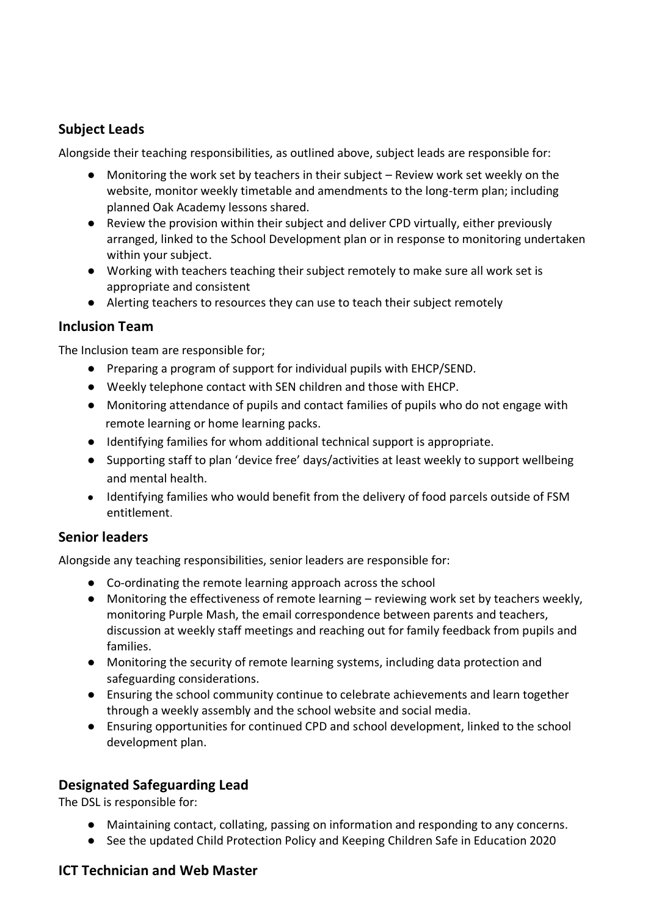## **Subject Leads**

Alongside their teaching responsibilities, as outlined above, subject leads are responsible for:

- Monitoring the work set by teachers in their subject Review work set weekly on the website, monitor weekly timetable and amendments to the long-term plan; including planned Oak Academy lessons shared.
- Review the provision within their subject and deliver CPD virtually, either previously arranged, linked to the School Development plan or in response to monitoring undertaken within your subject.
- Working with teachers teaching their subject remotely to make sure all work set is appropriate and consistent
- Alerting teachers to resources they can use to teach their subject remotely

#### **Inclusion Team**

The Inclusion team are responsible for;

- Preparing a program of support for individual pupils with EHCP/SEND.
- Weekly telephone contact with SEN children and those with EHCP.
- Monitoring attendance of pupils and contact families of pupils who do not engage with remote learning or home learning packs.
- Identifying families for whom additional technical support is appropriate.
- Supporting staff to plan 'device free' days/activities at least weekly to support wellbeing and mental health.
- Identifying families who would benefit from the delivery of food parcels outside of FSM entitlement.

#### **Senior leaders**

Alongside any teaching responsibilities, senior leaders are responsible for:

- Co-ordinating the remote learning approach across the school
- Monitoring the effectiveness of remote learning reviewing work set by teachers weekly, monitoring Purple Mash, the email correspondence between parents and teachers, discussion at weekly staff meetings and reaching out for family feedback from pupils and families.
- Monitoring the security of remote learning systems, including data protection and safeguarding considerations.
- Ensuring the school community continue to celebrate achievements and learn together through a weekly assembly and the school website and social media.
- Ensuring opportunities for continued CPD and school development, linked to the school development plan.

## **Designated Safeguarding Lead**

The DSL is responsible for:

- Maintaining contact, collating, passing on information and responding to any concerns.
- See the updated Child Protection Policy and Keeping Children Safe in Education 2020

#### **ICT Technician and Web Master**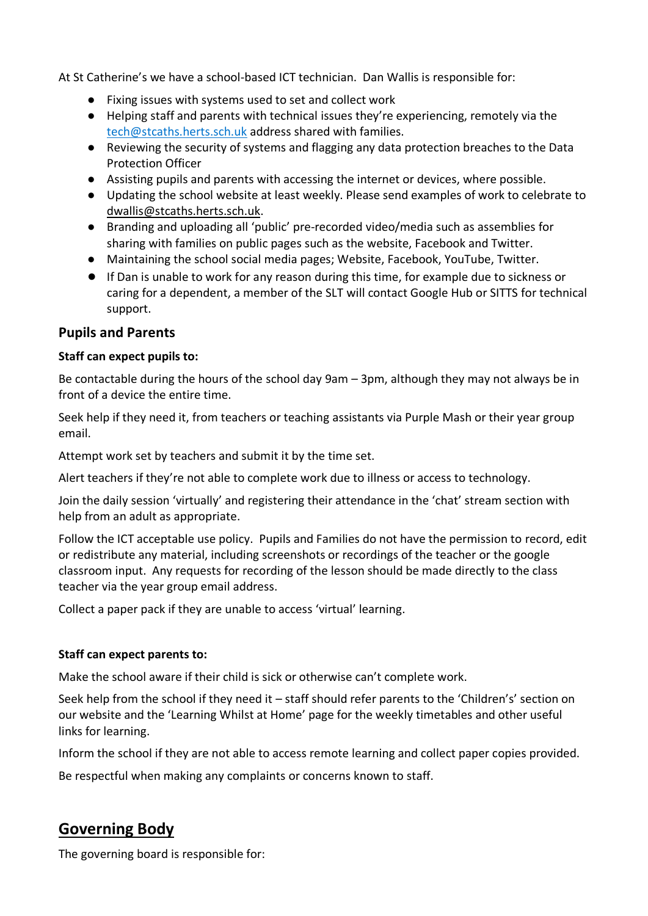At St Catherine's we have a school-based ICT technician. Dan Wallis is responsible for:

- Fixing issues with systems used to set and collect work
- Helping staff and parents with technical issues they're experiencing, remotely via the [tech@stcaths.herts.sch.uk](mailto:tech@stcaths.herts.sch.uk) address shared with families.
- Reviewing the security of systems and flagging any data protection breaches to the Data Protection Officer
- Assisting pupils and parents with accessing the internet or devices, where possible.
- Updating the school website at least weekly. Please send examples of work to celebrate to [dwallis@stcaths.herts.sch.uk.](mailto:dwallis@stcaths.herts.sch.uk)
- Branding and uploading all 'public' pre-recorded video/media such as assemblies for sharing with families on public pages such as the website, Facebook and Twitter.
- Maintaining the school social media pages; Website, Facebook, YouTube, Twitter.
- If Dan is unable to work for any reason during this time, for example due to sickness or caring for a dependent, a member of the SLT will contact Google Hub or SITTS for technical support.

#### **Pupils and Parents**

#### **Staff can expect pupils to:**

Be contactable during the hours of the school day 9am – 3pm, although they may not always be in front of a device the entire time.

Seek help if they need it, from teachers or teaching assistants via Purple Mash or their year group email.

Attempt work set by teachers and submit it by the time set.

Alert teachers if they're not able to complete work due to illness or access to technology.

Join the daily session 'virtually' and registering their attendance in the 'chat' stream section with help from an adult as appropriate.

Follow the ICT acceptable use policy. Pupils and Families do not have the permission to record, edit or redistribute any material, including screenshots or recordings of the teacher or the google classroom input. Any requests for recording of the lesson should be made directly to the class teacher via the year group email address.

Collect a paper pack if they are unable to access 'virtual' learning.

#### **Staff can expect parents to:**

Make the school aware if their child is sick or otherwise can't complete work.

Seek help from the school if they need it – staff should refer parents to the 'Children's' section on our website and the 'Learning Whilst at Home' page for the weekly timetables and other useful links for learning.

Inform the school if they are not able to access remote learning and collect paper copies provided.

Be respectful when making any complaints or concerns known to staff.

# **Governing Body**

The governing board is responsible for: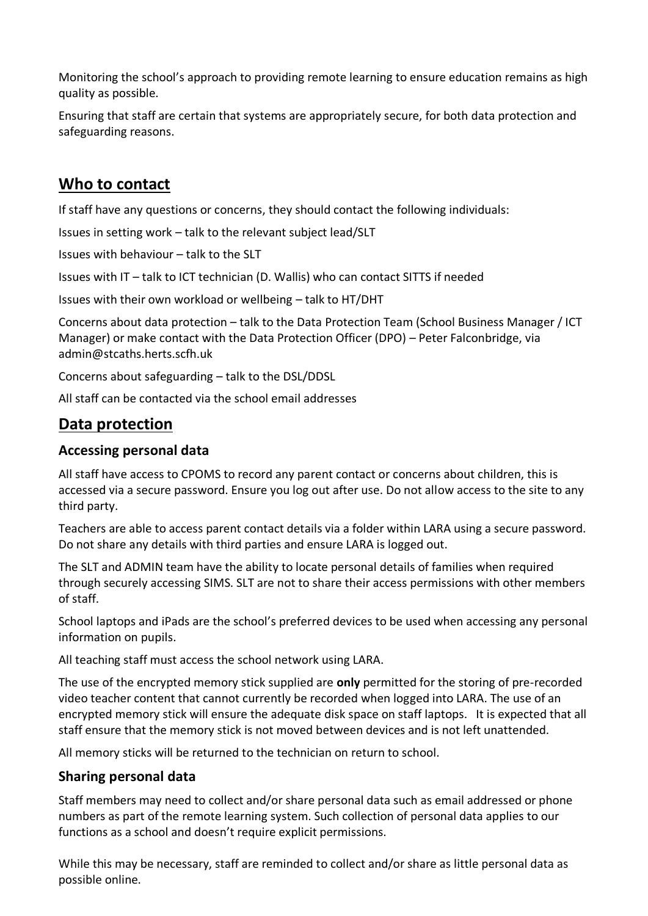Monitoring the school's approach to providing remote learning to ensure education remains as high quality as possible.

Ensuring that staff are certain that systems are appropriately secure, for both data protection and safeguarding reasons.

# **Who to contact**

If staff have any questions or concerns, they should contact the following individuals:

Issues in setting work – talk to the relevant subject lead/SLT

Issues with behaviour – talk to the SLT

Issues with IT – talk to ICT technician (D. Wallis) who can contact SITTS if needed

Issues with their own workload or wellbeing – talk to HT/DHT

Concerns about data protection – talk to the Data Protection Team (School Business Manager / ICT Manager) or make contact with the Data Protection Officer (DPO) – Peter Falconbridge, via admin@stcaths.herts.scfh.uk

Concerns about safeguarding – talk to the DSL/DDSL

All staff can be contacted via the school email addresses

# **Data protection**

#### **Accessing personal data**

All staff have access to CPOMS to record any parent contact or concerns about children, this is accessed via a secure password. Ensure you log out after use. Do not allow access to the site to any third party.

Teachers are able to access parent contact details via a folder within LARA using a secure password. Do not share any details with third parties and ensure LARA is logged out.

The SLT and ADMIN team have the ability to locate personal details of families when required through securely accessing SIMS. SLT are not to share their access permissions with other members of staff.

School laptops and iPads are the school's preferred devices to be used when accessing any personal information on pupils.

All teaching staff must access the school network using LARA.

The use of the encrypted memory stick supplied are **only** permitted for the storing of pre-recorded video teacher content that cannot currently be recorded when logged into LARA. The use of an encrypted memory stick will ensure the adequate disk space on staff laptops. It is expected that all staff ensure that the memory stick is not moved between devices and is not left unattended.

All memory sticks will be returned to the technician on return to school.

#### **Sharing personal data**

Staff members may need to collect and/or share personal data such as email addressed or phone numbers as part of the remote learning system. Such collection of personal data applies to our functions as a school and doesn't require explicit permissions.

While this may be necessary, staff are reminded to collect and/or share as little personal data as possible online.